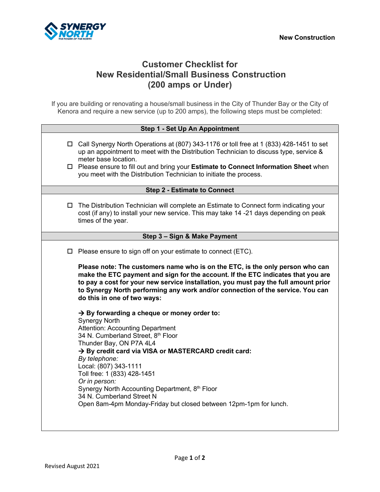

# **Customer Checklist for New Residential/Small Business Construction (200 amps or Under)**

If you are building or renovating a house/small business in the City of Thunder Bay or the City of Kenora and require a new service (up to 200 amps), the following steps must be completed:

| Step 1 - Set Up An Appointment      |                                                                                                                                                                                                                                                                                                                                                                                                                                                                                                                           |
|-------------------------------------|---------------------------------------------------------------------------------------------------------------------------------------------------------------------------------------------------------------------------------------------------------------------------------------------------------------------------------------------------------------------------------------------------------------------------------------------------------------------------------------------------------------------------|
|                                     | $\Box$ Call Synergy North Operations at (807) 343-1176 or toll free at 1 (833) 428-1451 to set<br>up an appointment to meet with the Distribution Technician to discuss type, service &<br>meter base location.<br>□ Please ensure to fill out and bring your Estimate to Connect Information Sheet when<br>you meet with the Distribution Technician to initiate the process.                                                                                                                                            |
| <b>Step 2 - Estimate to Connect</b> |                                                                                                                                                                                                                                                                                                                                                                                                                                                                                                                           |
| ◻                                   | The Distribution Technician will complete an Estimate to Connect form indicating your<br>cost (if any) to install your new service. This may take 14 -21 days depending on peak<br>times of the year.                                                                                                                                                                                                                                                                                                                     |
| Step 3 - Sign & Make Payment        |                                                                                                                                                                                                                                                                                                                                                                                                                                                                                                                           |
| □                                   | Please ensure to sign off on your estimate to connect (ETC).<br>Please note: The customers name who is on the ETC, is the only person who can<br>make the ETC payment and sign for the account. If the ETC indicates that you are<br>to pay a cost for your new service installation, you must pay the full amount prior<br>to Synergy North performing any work and/or connection of the service. You can                                                                                                                |
|                                     | do this in one of two ways:<br>$\rightarrow$ By forwarding a cheque or money order to:<br><b>Synergy North</b><br>Attention: Accounting Department<br>34 N. Cumberland Street, 8th Floor<br>Thunder Bay, ON P7A 4L4<br>→ By credit card via VISA or MASTERCARD credit card:<br>By telephone:<br>Local: (807) 343-1111<br>Toll free: 1 (833) 428-1451<br>Or in person:<br>Synergy North Accounting Department, 8th Floor<br>34 N. Cumberland Street N<br>Open 8am-4pm Monday-Friday but closed between 12pm-1pm for lunch. |